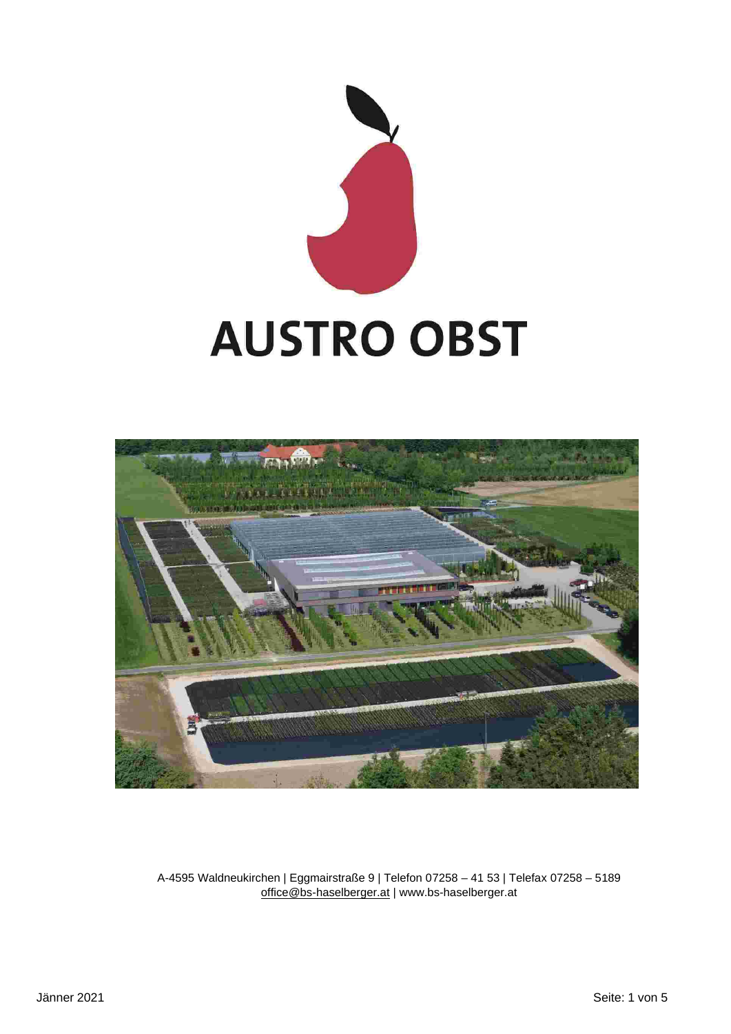



A-4595 Waldneukirchen | Eggmairstraße 9 | Telefon 07258 – 41 53 | Telefax 07258 – 5189 office@bs-haselberger.at | www.bs-haselberger.at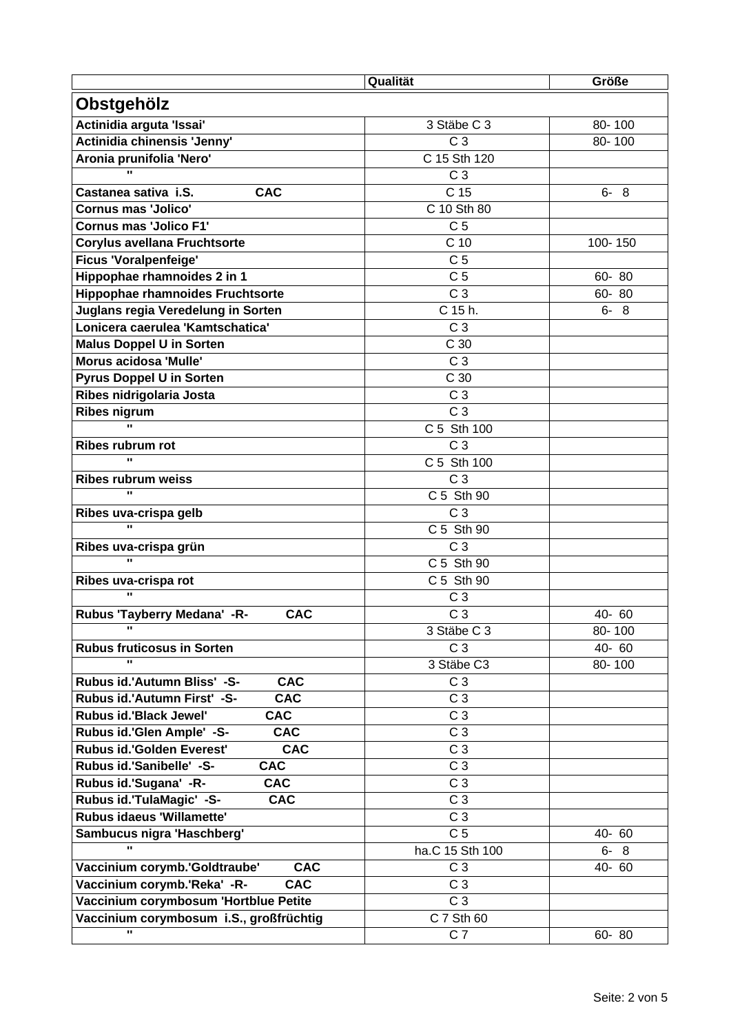|                                               | Qualität        | <b>Größe</b> |
|-----------------------------------------------|-----------------|--------------|
| Obstgehölz                                    |                 |              |
| Actinidia arguta 'Issai'                      | 3 Stäbe C 3     | 80-100       |
| Actinidia chinensis 'Jenny'                   | C <sub>3</sub>  | 80-100       |
| Aronia prunifolia 'Nero'                      | C 15 Sth 120    |              |
| u,                                            | C <sub>3</sub>  |              |
| Castanea sativa i.S.<br><b>CAC</b>            | C 15            | $6 - 8$      |
| <b>Cornus mas 'Jolico'</b>                    | C 10 Sth 80     |              |
| <b>Cornus mas 'Jolico F1'</b>                 | C <sub>5</sub>  |              |
| <b>Corylus avellana Fruchtsorte</b>           | C 10            | 100-150      |
| <b>Ficus 'Voralpenfeige'</b>                  | C <sub>5</sub>  |              |
| Hippophae rhamnoides 2 in 1                   | C <sub>5</sub>  | 60-80        |
| <b>Hippophae rhamnoides Fruchtsorte</b>       | C <sub>3</sub>  | $60 - 80$    |
| Juglans regia Veredelung in Sorten            | C 15 h.         | $6 - 8$      |
| Lonicera caerulea 'Kamtschatica'              | C <sub>3</sub>  |              |
| <b>Malus Doppel U in Sorten</b>               | C 30            |              |
| Morus acidosa 'Mulle'                         | C <sub>3</sub>  |              |
| <b>Pyrus Doppel U in Sorten</b>               | C 30            |              |
| Ribes nidrigolaria Josta                      | C <sub>3</sub>  |              |
| <b>Ribes nigrum</b>                           | $\overline{C}3$ |              |
| u,                                            | C 5 Sth 100     |              |
| Ribes rubrum rot                              | C <sub>3</sub>  |              |
| $\mathbf{u}$                                  | C 5 Sth 100     |              |
| <b>Ribes rubrum weiss</b>                     | C <sub>3</sub>  |              |
| $\mathbf{u}$                                  | C 5 Sth 90      |              |
| Ribes uva-crispa gelb                         | C <sub>3</sub>  |              |
| $\mathbf{u}$                                  | C 5 Sth 90      |              |
| Ribes uva-crispa grün                         | C <sub>3</sub>  |              |
| $\mathbf{u}$                                  | C 5 Sth 90      |              |
| Ribes uva-crispa rot                          | C 5 Sth 90      |              |
| u,                                            | C <sub>3</sub>  |              |
| Rubus 'Tayberry Medana' -R-<br><b>CAC</b>     | C <sub>3</sub>  | 40-60        |
| H.                                            | 3 Stäbe C 3     | 80-100       |
| <b>Rubus fruticosus in Sorten</b>             | C <sub>3</sub>  | 40-60        |
| $\mathbf{u}$                                  | 3 Stäbe C3      | 80-100       |
| Rubus id.'Autumn Bliss' -S-<br><b>CAC</b>     | C <sub>3</sub>  |              |
| Rubus id.'Autumn First' -S-<br><b>CAC</b>     | C <sub>3</sub>  |              |
| Rubus id.'Black Jewel'<br><b>CAC</b>          | C <sub>3</sub>  |              |
| <b>CAC</b><br>Rubus id.'Glen Ample' -S-       | C <sub>3</sub>  |              |
| Rubus id.'Golden Everest'<br><b>CAC</b>       | C <sub>3</sub>  |              |
| Rubus id.'Sanibelle' -S-<br><b>CAC</b>        | C <sub>3</sub>  |              |
| Rubus id.'Sugana' -R-<br><b>CAC</b>           | C <sub>3</sub>  |              |
| Rubus id.'TulaMagic' -S-<br><b>CAC</b>        | C <sub>3</sub>  |              |
| <b>Rubus idaeus 'Willamette'</b>              | C <sub>3</sub>  |              |
| Sambucus nigra 'Haschberg'                    | C <sub>5</sub>  | 40-60        |
| u,                                            | ha.C 15 Sth 100 | $6 - 8$      |
| Vaccinium corymb.'Goldtraube'<br><b>CAC</b>   | C <sub>3</sub>  | 40-60        |
| Vaccinium corymb.'Reka' -R-<br><b>CAC</b>     | C <sub>3</sub>  |              |
| Vaccinium corymbosum 'Hortblue Petite         | C <sub>3</sub>  |              |
|                                               |                 |              |
| Vaccinium corymbosum i.S., großfrüchtig<br>u. | C 7 Sth 60      |              |
|                                               | C <sub>7</sub>  | $60 - 80$    |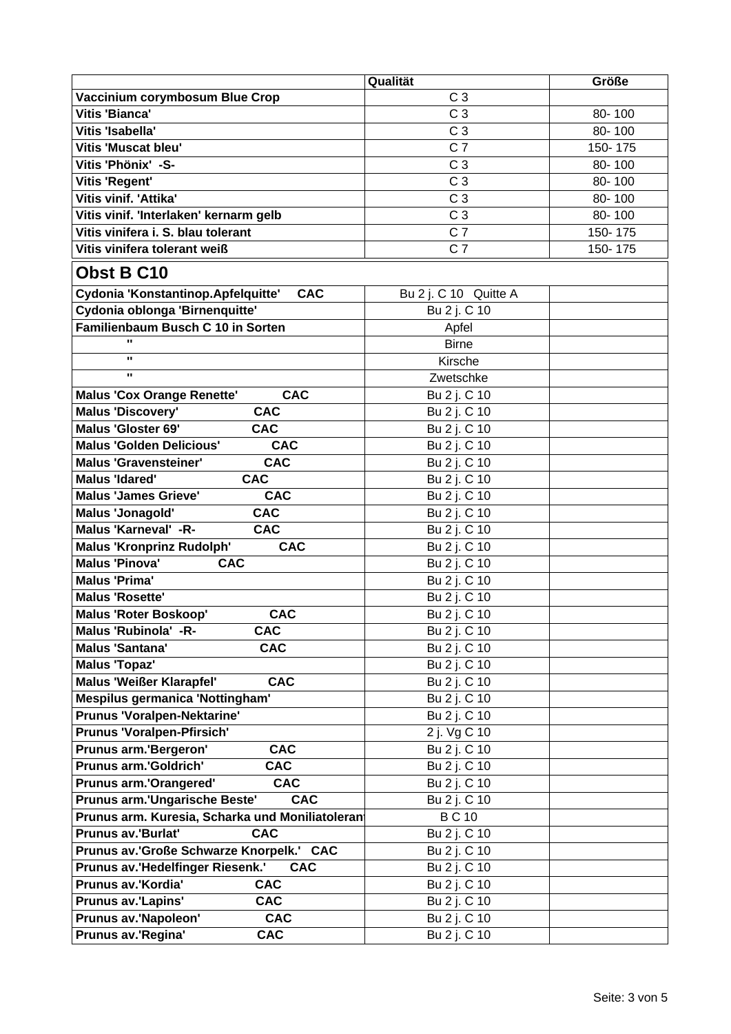|                                                  | Qualität              | Größe   |
|--------------------------------------------------|-----------------------|---------|
| Vaccinium corymbosum Blue Crop                   | C <sub>3</sub>        |         |
| <b>Vitis 'Bianca'</b>                            | C <sub>3</sub>        | 80-100  |
| Vitis 'Isabella'                                 | C <sub>3</sub>        | 80-100  |
| <b>Vitis 'Muscat bleu'</b>                       | C <sub>7</sub>        | 150-175 |
| Vitis 'Phönix' -S-                               | C <sub>3</sub>        | 80-100  |
| <b>Vitis 'Regent'</b>                            | C <sub>3</sub>        | 80-100  |
| Vitis vinif. 'Attika'                            | C <sub>3</sub>        | 80-100  |
| Vitis vinif. 'Interlaken' kernarm gelb           | C <sub>3</sub>        | 80-100  |
| Vitis vinifera i. S. blau tolerant               | $C\bar{T}$            | 150-175 |
| Vitis vinifera tolerant weiß                     | C <sub>7</sub>        | 150-175 |
| Obst B C10                                       |                       |         |
| Cydonia 'Konstantinop.Apfelquitte'<br><b>CAC</b> | Bu 2 j. C 10 Quitte A |         |
| Cydonia oblonga 'Birnenquitte'                   | Bu 2 j. C 10          |         |
| Familienbaum Busch C 10 in Sorten                | Apfel                 |         |
| $\mathbf{u}$                                     | <b>Birne</b>          |         |
| $\mathbf{u}$                                     | Kirsche               |         |
| $\mathbf{u}$                                     | Zwetschke             |         |
| <b>Malus 'Cox Orange Renette'</b><br><b>CAC</b>  | Bu 2 j. C 10          |         |
| <b>CAC</b><br><b>Malus 'Discovery'</b>           | Bu 2 j. C 10          |         |
| <b>Malus 'Gloster 69'</b><br><b>CAC</b>          | Bu 2 j. C 10          |         |
| <b>Malus 'Golden Delicious'</b><br><b>CAC</b>    | Bu 2 j. C 10          |         |
| <b>Malus 'Gravensteiner'</b><br><b>CAC</b>       | Bu 2 j. C 10          |         |
| <b>CAC</b><br><b>Malus 'Idared'</b>              | Bu 2 j. C 10          |         |
| <b>CAC</b><br><b>Malus 'James Grieve'</b>        | Bu 2 j. C 10          |         |
| <b>Malus 'Jonagold'</b><br><b>CAC</b>            | Bu 2 j. C 10          |         |
| Malus 'Karneval' -R-<br><b>CAC</b>               | Bu 2 j. C 10          |         |
| <b>Malus 'Kronprinz Rudolph'</b><br><b>CAC</b>   | Bu 2 j. C 10          |         |
| <b>Malus 'Pinova'</b><br><b>CAC</b>              | Bu 2 j. C 10          |         |
| <b>Malus 'Prima'</b>                             | Bu 2 j. C 10          |         |
| <b>Malus 'Rosette'</b>                           | Bu 2 j. C 10          |         |
| <b>CAC</b><br><b>Malus 'Roter Boskoop'</b>       | Bu 2 j. C 10          |         |
| Malus 'Rubinola' -R-<br><b>CAC</b>               | Bu 2 j. C 10          |         |
| Malus 'Santana'<br><b>CAC</b>                    | Bu 2 j. C 10          |         |
| <b>Malus 'Topaz'</b>                             | Bu 2 j. C 10          |         |
| <b>Malus 'Weißer Klarapfel'</b><br><b>CAC</b>    | Bu 2 j. C 10          |         |
| <b>Mespilus germanica 'Nottingham'</b>           | Bu 2 j. C 10          |         |
| Prunus 'Voralpen-Nektarine'                      | Bu 2 j. C 10          |         |
| <b>Prunus 'Voralpen-Pfirsich'</b>                | 2 j. Vg C 10          |         |
| <b>Prunus arm.'Bergeron'</b><br><b>CAC</b>       | Bu 2 j. C 10          |         |
| <b>Prunus arm.'Goldrich'</b><br><b>CAC</b>       | Bu 2 j. C 10          |         |
| <b>Prunus arm.'Orangered'</b><br><b>CAC</b>      | Bu 2 j. C 10          |         |
| Prunus arm.'Ungarische Beste'<br><b>CAC</b>      | Bu 2 j. C 10          |         |
| Prunus arm. Kuresia, Scharka und Moniliatoleran  | <b>BC10</b>           |         |
| <b>Prunus av.'Burlat'</b><br><b>CAC</b>          | Bu 2 j. C 10          |         |
| Prunus av.'Große Schwarze Knorpelk.' CAC         | Bu 2 j. C 10          |         |
| Prunus av.'Hedelfinger Riesenk.'<br><b>CAC</b>   | Bu 2 j. C 10          |         |
| Prunus av.'Kordia'<br><b>CAC</b>                 | Bu 2 j. C 10          |         |
| Prunus av.'Lapins'<br><b>CAC</b>                 | Bu 2 j. C 10          |         |
| Prunus av.'Napoleon'<br><b>CAC</b>               | Bu 2 j. C 10          |         |
| Prunus av.'Regina'<br><b>CAC</b>                 | Bu 2 j. C 10          |         |
|                                                  |                       |         |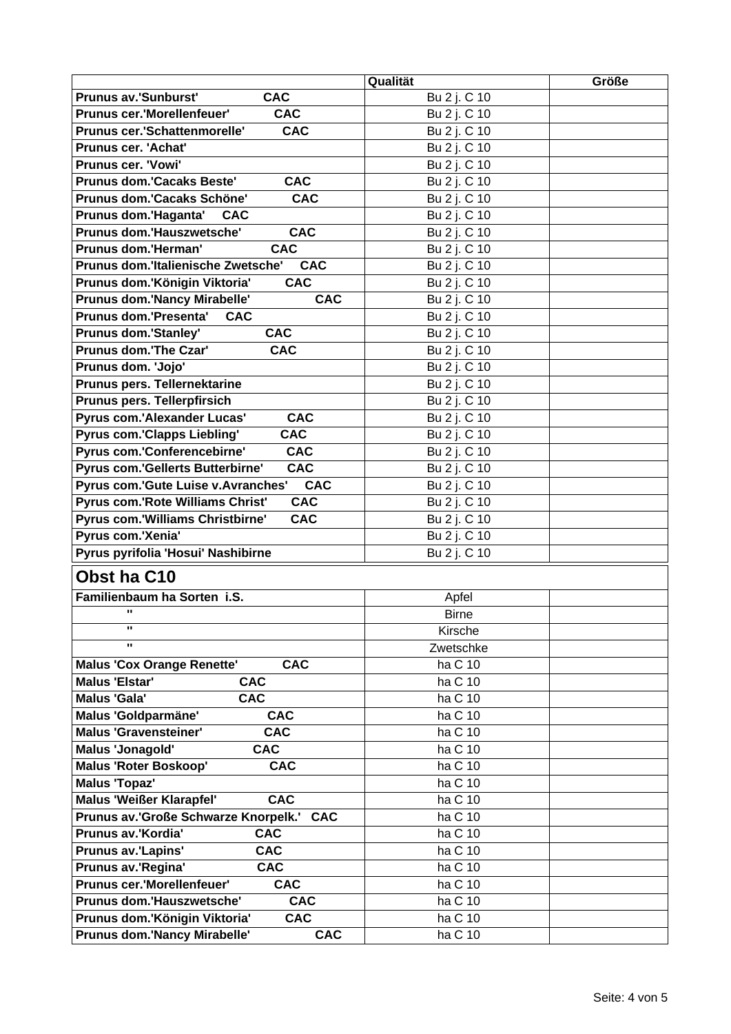|                                                  | Qualität     | <b>Größe</b> |  |
|--------------------------------------------------|--------------|--------------|--|
| <b>Prunus av.'Sunburst'</b><br><b>CAC</b>        | Bu 2 j. C 10 |              |  |
| <b>CAC</b><br>Prunus cer.'Morellenfeuer'         | Bu 2 j. C 10 |              |  |
| Prunus cer.'Schattenmorelle'<br><b>CAC</b>       | Bu 2 j. C 10 |              |  |
| Prunus cer. 'Achat'                              | Bu 2 j. C 10 |              |  |
| <b>Prunus cer. 'Vowi'</b>                        | Bu 2 j. C 10 |              |  |
| <b>Prunus dom.'Cacaks Beste'</b><br><b>CAC</b>   | Bu 2 j. C 10 |              |  |
| Prunus dom.'Cacaks Schöne'<br><b>CAC</b>         | Bu 2 j. C 10 |              |  |
| Prunus dom.'Haganta'<br><b>CAC</b>               | Bu 2 j. C 10 |              |  |
| Prunus dom.'Hauszwetsche'<br><b>CAC</b>          | Bu 2 j. C 10 |              |  |
| Prunus dom.'Herman'<br><b>CAC</b>                | Bu 2 j. C 10 |              |  |
| Prunus dom.'Italienische Zwetsche'<br><b>CAC</b> | Bu 2 j. C 10 |              |  |
| Prunus dom.'Königin Viktoria'<br><b>CAC</b>      | Bu 2 j. C 10 |              |  |
| Prunus dom.'Nancy Mirabelle'<br><b>CAC</b>       | Bu 2 j. C 10 |              |  |
| Prunus dom.'Presenta'<br><b>CAC</b>              | Bu 2 j. C 10 |              |  |
| <b>Prunus dom.'Stanley'</b><br><b>CAC</b>        | Bu 2 j. C 10 |              |  |
| Prunus dom.'The Czar'<br><b>CAC</b>              | Bu 2 j. C 10 |              |  |
| Prunus dom. 'Jojo'                               | Bu 2 j. C 10 |              |  |
| Prunus pers. Tellernektarine                     | Bu 2 j. C 10 |              |  |
| Prunus pers. Tellerpfirsich                      | Bu 2 j. C 10 |              |  |
| Pyrus com.'Alexander Lucas'<br><b>CAC</b>        | Bu 2 j. C 10 |              |  |
| Pyrus com.'Clapps Liebling'<br><b>CAC</b>        | Bu 2 j. C 10 |              |  |
| Pyrus com.'Conferencebirne'<br><b>CAC</b>        | Bu 2 j. C 10 |              |  |
| <b>CAC</b><br>Pyrus com.'Gellerts Butterbirne'   | Bu 2 j. C 10 |              |  |
| Pyrus com.'Gute Luise v.Avranches'<br><b>CAC</b> | Bu 2 j. C 10 |              |  |
| Pyrus com.'Rote Williams Christ'<br><b>CAC</b>   | Bu 2 j. C 10 |              |  |
| Pyrus com.'Williams Christbirne'<br><b>CAC</b>   | Bu 2 j. C 10 |              |  |
| Pyrus com.'Xenia'                                | Bu 2 j. C 10 |              |  |
| Pyrus pyrifolia 'Hosui' Nashibirne               | Bu 2 j. C 10 |              |  |
|                                                  |              |              |  |
| Obst ha C10                                      |              |              |  |
| Familienbaum ha Sorten i.S.                      | Apfel        |              |  |
| $\mathbf{u}$                                     | <b>Birne</b> |              |  |
| π.                                               | Kirsche      |              |  |
| п.                                               | Zwetschke    |              |  |
| <b>CAC</b><br><b>Malus 'Cox Orange Renette'</b>  | ha C 10      |              |  |
| <b>CAC</b><br><b>Malus 'Elstar'</b>              | ha C 10      |              |  |
| <b>CAC</b><br><b>Malus 'Gala'</b>                | ha C 10      |              |  |
| Malus 'Goldparmäne'<br><b>CAC</b>                | ha C 10      |              |  |
| <b>Malus 'Gravensteiner'</b><br><b>CAC</b>       | ha C 10      |              |  |
| <b>Malus 'Jonagold'</b><br><b>CAC</b>            | ha C 10      |              |  |
| <b>Malus 'Roter Boskoop'</b><br><b>CAC</b>       | ha C 10      |              |  |
| <b>Malus 'Topaz'</b>                             | ha C 10      |              |  |
| <b>Malus 'Weißer Klarapfel'</b><br><b>CAC</b>    | ha C 10      |              |  |
| Prunus av.'Große Schwarze Knorpelk.' CAC         | ha C 10      |              |  |
| Prunus av.'Kordia'<br><b>CAC</b>                 | ha C 10      |              |  |
| <b>CAC</b><br><b>Prunus av.'Lapins'</b>          | ha C 10      |              |  |
| Prunus av.'Regina'<br><b>CAC</b>                 | ha C 10      |              |  |
| <b>Prunus cer.'Morellenfeuer'</b><br><b>CAC</b>  | ha C 10      |              |  |
| Prunus dom.'Hauszwetsche'<br><b>CAC</b>          | ha C 10      |              |  |
| Prunus dom.'Königin Viktoria'<br><b>CAC</b>      | ha C 10      |              |  |
| Prunus dom.'Nancy Mirabelle'<br><b>CAC</b>       | ha C 10      |              |  |